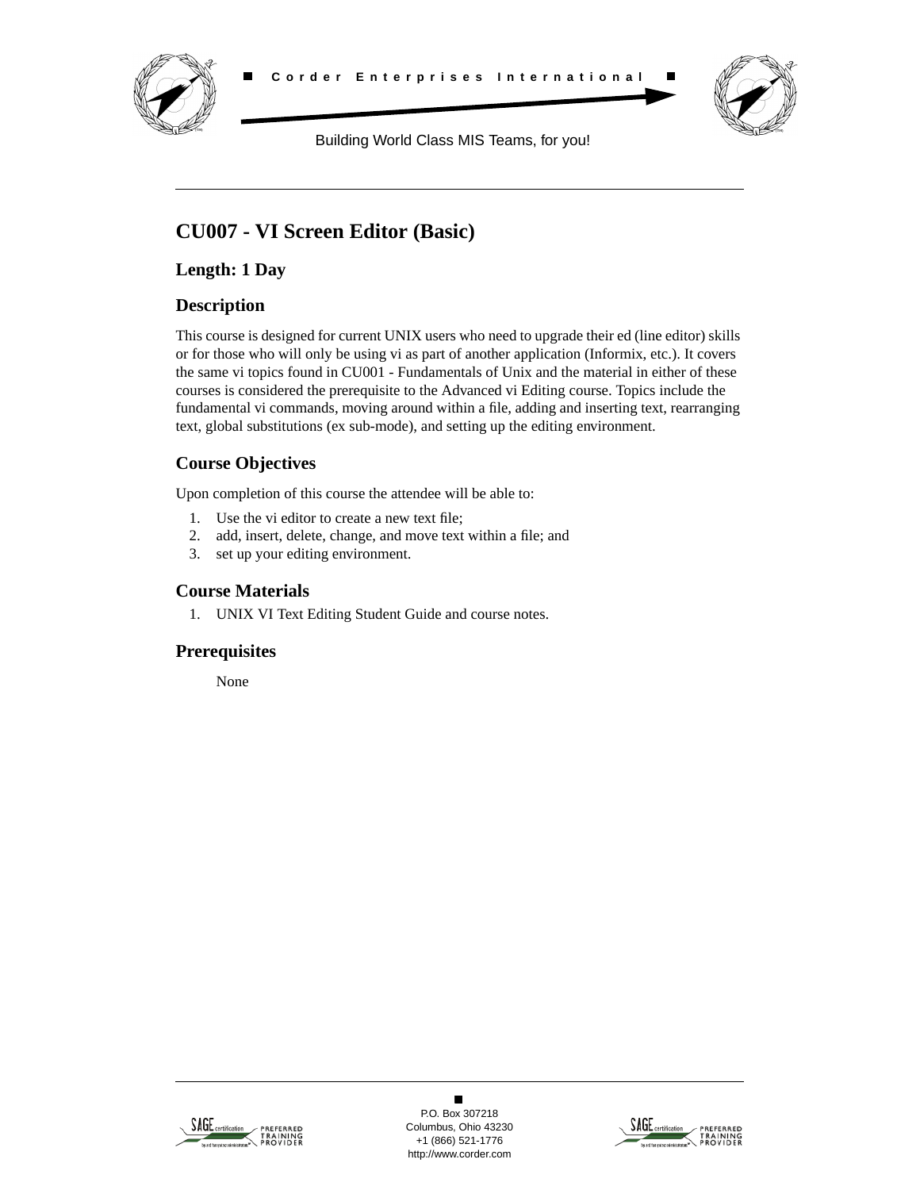



Building World Class MIS Teams, for you!

# **CU007 - VI Screen Editor (Basic)**

**Length: 1 Day**

# **Description**

This course is designed for current UNIX users who need to upgrade their ed (line editor) skills or for those who will only be using vi as part of another application (Informix, etc.). It covers the same vi topics found in CU001 - Fundamentals of Unix and the material in either of these courses is considered the prerequisite to the Advanced vi Editing course. Topics include the fundamental vi commands, moving around within a file, adding and inserting text, rearranging text, global substitutions (ex sub-mode), and setting up the editing environment.

# **Course Objectives**

Upon completion of this course the attendee will be able to:

- 1. Use the vi editor to create a new text file;
- 2. add, insert, delete, change, and move text within a file; and
- 3. set up your editing environment.

# **Course Materials**

1. UNIX VI Text Editing Student Guide and course notes.

## **Prerequisites**

None



 $\blacksquare$ P.O. Box 307218 Columbus, Ohio 43230 +1 (866) 521-1776 http://www.corder.com